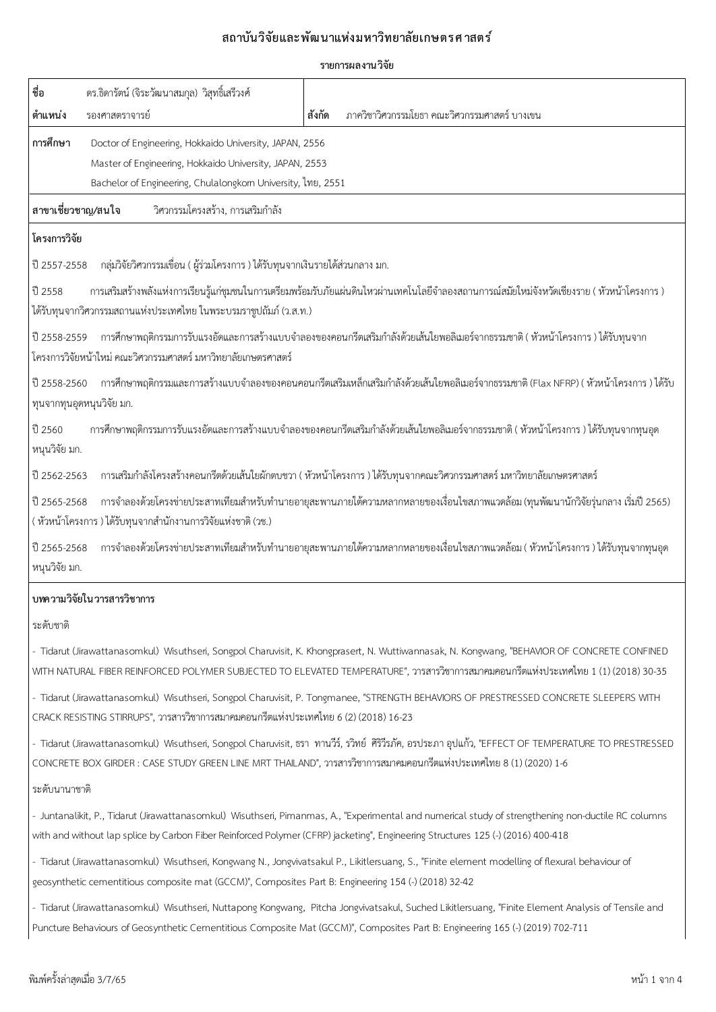## ิสถาบันวิจัยและพัฒนาแห่งมหาวิทยาลัยเกษตรศาสตร*์*

| െ<br>รายการผล <i>ง</i> านวจย |  |
|------------------------------|--|
|                              |  |

| ชื่อ<br>ดร.ธิดารัตน์ (จิระวัฒนาสมกุล) วิสุทธิ์เสรีวงศ์                                                                                                                                        |                                                                                                                                                                                                                                                                                     |  |  |
|-----------------------------------------------------------------------------------------------------------------------------------------------------------------------------------------------|-------------------------------------------------------------------------------------------------------------------------------------------------------------------------------------------------------------------------------------------------------------------------------------|--|--|
| ตำแหน่ง<br>รองศาสตราจารย์                                                                                                                                                                     | สังกัด<br>ภาควิชาวิศวกรรมโยธา คณะวิศวกรรมศาสตร์ บางเขน                                                                                                                                                                                                                              |  |  |
| การศึกษา<br>Doctor of Engineering, Hokkaido University, JAPAN, 2556<br>Master of Engineering, Hokkaido University, JAPAN, 2553<br>Bachelor of Engineering, Chulalongkom University, ไทย, 2551 |                                                                                                                                                                                                                                                                                     |  |  |
| สาขาเชี่ยวชาญ/สนใจ<br>วิศวกรรมโครงสร้าง, การเสริมกำลัง                                                                                                                                        |                                                                                                                                                                                                                                                                                     |  |  |
| โครงการวิจัย                                                                                                                                                                                  |                                                                                                                                                                                                                                                                                     |  |  |
| ึกลุ่มวิจัยวิศวกรรมเขื่อน ( ผู้ร่วมโครงการ ) ได้รับทุนจากเงินรายได้ส่วนกลาง มก.<br>ปี 2557-2558                                                                                               |                                                                                                                                                                                                                                                                                     |  |  |
| ปี 2558<br>ได้รับทุนจากวิศวกรรมสถานแห่งประเทศไทย ในพระบรมราชูปถัมภ์ (ว.ส.ท.)                                                                                                                  | การเสริมสร้างพลังแห่งการเรียนรู้แก่ชุมชนในการเตรียมพร้อมรับภัยแผ่นดินไหวผ่านเทคโนโลยีจำลองสถานการณ์สมัยใหม่จังหวัดเชียงราย ( หัวหน้าโครงการ )                                                                                                                                       |  |  |
| ปี 2558-2559<br>โครงการวิจัยหน้าใหม่ คณะวิศวกรรมศาสตร์ มหาวิทยาลัยเกษตรศาสตร์                                                                                                                 | การศึกษาพฤติกรรมการรับแรงอัดและการสร้างแบบจำลองของคอนกรีตเสริมกำลังด้วยเส้นใยพอลิเมอร์จากธรรมชาติ ( หัวหน้าโครงการ ) ได้รับทุนจาก                                                                                                                                                   |  |  |
| ปี 2558-2560<br>ทุนจากทุนอุดหนุนวิจัย มก.                                                                                                                                                     | การศึกษาพฤติกรรมและการสร้างแบบจำลองของคอนคอนกรีตเสริมเหล็กเสริมกำลังด้วยเส้นใยพอลิเมอร์จากธรรมชาติ (Flax NFRP) ( หัวหน้าโครงการ ) ได้รับ                                                                                                                                            |  |  |
| ปี 2560<br>หนุนวิจัย มก.                                                                                                                                                                      | การศึกษาพฤติกรรมการรับแรงอัดและการสร้างแบบจำลองของคอนกรีตเสริมกำลังด้วยเส้นใยพอลิเมอร์จากธรรมชาติ ( หัวหน้าโครงการ ) ได้รับทุนจากทุนอุด                                                                                                                                             |  |  |
| ปี 2562-2563                                                                                                                                                                                  | การเสริมกำลังโครงสร้างคอนกรีตด้วยเส้นใยผักตบชวา ( หัวหน้าโครงการ ) ได้รับทุนจากคณะวิศวกรรมศาสตร์ มหาวิทยาลัยเกษตรศาสตร์                                                                                                                                                             |  |  |
| ปี 2565-2568<br>( หัวหน้าโครงการ ) ได้รับทุนจากสำนักงานการวิจัยแห่งชาติ (วช.)                                                                                                                 | การจำลองด้วยโครงข่ายประสาทเทียมสำหรับทำนายอายุสะพานภายใต้ความหลากหลายของเงื่อนไขสภาพแวดล้อม (ทุนพัฒนานักวิจัยรุ่นกลาง เริ่มปี 2565)                                                                                                                                                 |  |  |
| ปี 2565-2568<br>หนุนวิจัย มก.                                                                                                                                                                 | การจำลองด้วยโครงข่ายประสาทเทียมสำหรับทำนายอายุสะพานภายใต้ความหลากหลายของเงื่อนไขสภาพแวดล้อม ( หัวหน้าโครงการ ) ได้รับทุนจากทุนอุด                                                                                                                                                   |  |  |
| บทความวิจัยในวารสารวิชาการ                                                                                                                                                                    |                                                                                                                                                                                                                                                                                     |  |  |
| ระดับชาติ                                                                                                                                                                                     |                                                                                                                                                                                                                                                                                     |  |  |
|                                                                                                                                                                                               | - Tidarut (Jirawattanasomkul) Wisuthseri, Songpol Charuvisit, K. Khongprasert, N. Wuttiwannasak, N. Kongwang, "BEHAVIOR OF CONCRETE CONFINED<br>WITH NATURAL FIBER REINFORCED POLYMER SUBJECTED TO ELEVATED TEMPERATURE", วารสารวิชาการสมาคมคอนกรีตแห่งประเทศไทย 1 (1) (2018) 30-35 |  |  |
| CRACK RESISTING STIRRUPS", วารสารวิชาการสมาคมคอนกรีตแห่งประเทศไทย 6 (2) (2018) 16-23                                                                                                          | - Tidarut (Jirawattanasomkul) Wisuthseri, Songpol Charuvisit, P. Tongmanee, "STRENGTH BEHAVIORS OF PRESTRESSED CONCRETE SLEEPERS WITH                                                                                                                                               |  |  |
| CONCRETE BOX GIRDER : CASE STUDY GREEN LINE MRT THAILAND", วารสารวิชาการสมาคมคอนกรีตแห่งประเทศไทย 8 (1) (2020) 1-6                                                                            | - Tidarut (Jirawattanasomkul) Wisuthseri, Songpol Charuvisit, ธรา ทานวีร์, รวิทย์ ศิริวีรภัค, อรประภา อุปแก้ว, "EFFECT OF TEMPERATURE TO PRESTRESSED                                                                                                                                |  |  |
| ระดับนานาชาติ                                                                                                                                                                                 |                                                                                                                                                                                                                                                                                     |  |  |
| with and without lap splice by Carbon Fiber Reinforced Polymer (CFRP) jacketing", Engineering Structures 125 (-) (2016) 400-418                                                               | - Juntanalikit, P., Tidarut (Jirawattanasomkul) Wisuthseri, Pimanmas, A., "Experimental and numerical study of strengthening non-ductile RC columns                                                                                                                                 |  |  |
|                                                                                                                                                                                               | - Tidarut (Jirawattanasomkul) Wisuthseri, Kongwang N., Jongvivatsakul P., Likitlersuang, S., "Finite element modelling of flexural behaviour of                                                                                                                                     |  |  |
| geosynthetic cementitious composite mat (GCCM)", Composites Part B: Engineering 154 (-) (2018) 32-42                                                                                          |                                                                                                                                                                                                                                                                                     |  |  |
|                                                                                                                                                                                               | - Tidarut (Jirawattanasomkul) Wisuthseri, Nuttapong Kongwang, Pitcha Jongvivatsakul, Suched Likitlersuang, "Finite Element Analysis of Tensile and<br>Puncture Behaviours of Geosynthetic Cementitious Composite Mat (GCCM)", Composites Part B: Engineering 165 (-) (2019) 702-711 |  |  |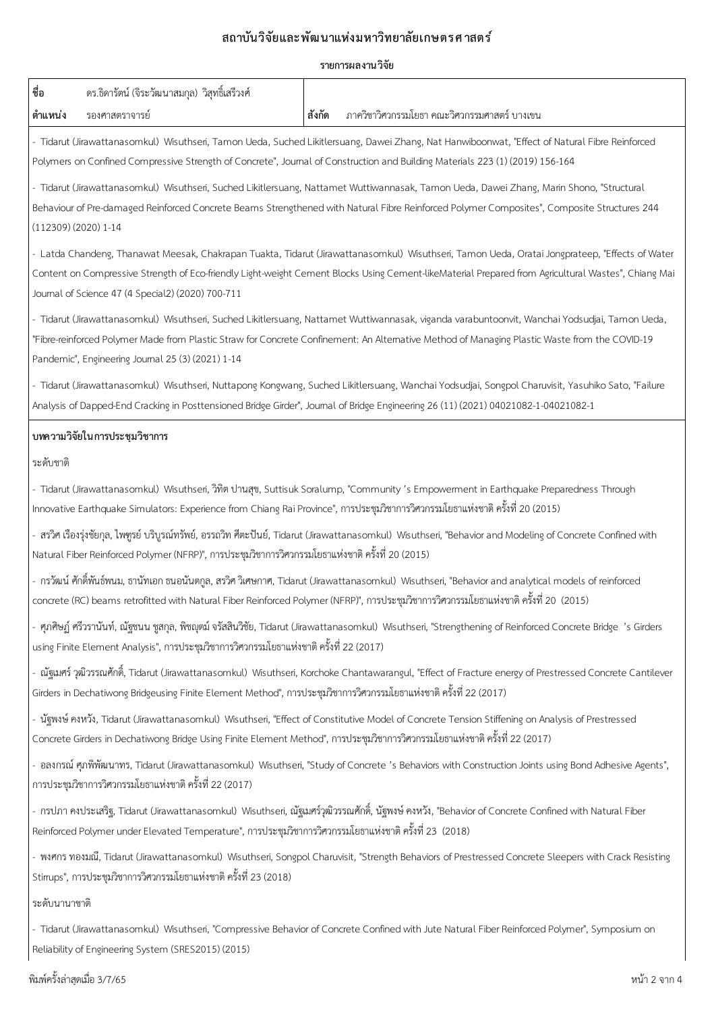|                                                                                                                              |        | รายการผลงานวิจัย                                                                                                                                                                                                                                                                                      |
|------------------------------------------------------------------------------------------------------------------------------|--------|-------------------------------------------------------------------------------------------------------------------------------------------------------------------------------------------------------------------------------------------------------------------------------------------------------|
| ชื่อ<br>ดร.ธิดารัตน์ (จิระวัฒนาสมกุล) วิสุทธิ์เสรีวงศ์                                                                       |        |                                                                                                                                                                                                                                                                                                       |
| ตำแหน่ง<br>รองศาสตราจารย์                                                                                                    | สังกัด | ภาควิชาวิศวกรรมโยธา คณะวิศวกรรมศาสตร์ บางเขน                                                                                                                                                                                                                                                          |
|                                                                                                                              |        | - Tidarut (Jirawattanasomkul) Wisuthseri, Tamon Ueda, Suched Likitlersuang, Dawei Zhang, Nat Hanwiboonwat, "Effect of Natural Fibre Reinforced<br>Polymers on Confined Compressive Strength of Concrete", Journal of Construction and Building Materials 223 (1) (2019) 156-164                       |
| (112309) (2020) 1-14                                                                                                         |        | - Tidarut (Jirawattanasomkul) Wisuthseri, Suched Likitlersuang, Nattamet Wuttiwannasak, Tamon Ueda, Dawei Zhang, Marin Shono, "Structural<br>Behaviour of Pre-damaged Reinforced Concrete Beams Strengthened with Natural Fibre Reinforced Polymer Composites", Composite Structures 244              |
| Journal of Science 47 (4 Special2) (2020) 700-711                                                                            |        | - Latda Chandeng, Thanawat Meesak, Chakrapan Tuakta, Tidarut (Jirawattanasomkul) Wisuthseri, Tamon Ueda, Oratai Jongprateep, "Effects of Water<br>Content on Compressive Strength of Eco-friendly Light-weight Cement Blocks Using Cement-likeMaterial Prepared from Agricultural Wastes", Chiang Mai |
| Pandemic", Engineering Journal 25 (3) (2021) 1-14                                                                            |        | - Tidarut (Jirawattanasomkul) Wisuthseri, Suched Likitlersuang, Nattamet Wuttiwannasak, viganda varabuntoonvit, Wanchai Yodsudjai, Tamon Ueda,<br>"Fibre-reinforced Polymer Made from Plastic Straw for Concrete Confinement: An Altemative Method of Managing Plastic Waste from the COVID-19        |
|                                                                                                                              |        | - Tidarut (Jirawattanasomkul) Wisuthseri, Nuttapong Kongwang, Suched Likitlersuang, Wanchai Yodsudjai, Songpol Charuvisit, Yasuhiko Sato, "Failure<br>Analysis of Dapped-End Cracking in Posttensioned Bridge Girder", Journal of Bridge Engineering 26 (11) (2021) 04021082-1-04021082-1             |
| บทความวิจัยในการประชุมวิชาการ                                                                                                |        |                                                                                                                                                                                                                                                                                                       |
| ระดับชาติ                                                                                                                    |        |                                                                                                                                                                                                                                                                                                       |
|                                                                                                                              |        | - Tidarut (Jirawattanasomkul) Wisuthseri, วิทิต ปานสุข, Suttisuk Soralump, "Community 's Empowerment in Earthquake Preparedness Through<br>Innovative Earthquake Simulators: Experience from Chiang Rai Province", การประชุมวิชาการวิศวกรรมโยธาแห่งชาติ ครั้งที่ 20 (2015)                            |
| Natural Fiber Reinforced Polymer (NFRP)", การประชุมวิชาการวิศวกรรมโยธาแห่งชาติ ครั้งที่ 20 (2015)                            |        | - สรวิศ เรืองรุ่งชัยกุล, ไพทูรย์ บริบูรณ์ทรัพย์, อรรถวิท ศีตะปันย์, Tidarut (Jirawattanasomkul) Wisuthseri, "Behavior and Modeling of Concrete Confined with                                                                                                                                          |
|                                                                                                                              |        | - กรวัฒน์ ศักดิ์พันธ์พนม, ธานัทเอก ธนอนันตกูล, สรวิศ วิเศษกาศ, Tidarut (Jirawattanasomkul) Wisuthseri, "Behavior and analytical models of reinforced<br>concrete (RC) beams retrofitted with Natural Fiber Reinforced Polymer (NFRP)", การประชุมวิชาการวิศวกรรมโยธาแห่งชาติ ครั้งที่ 20  (2015)       |
| using Finite Element Analysis", การประชุมวิชาการวิศวกรรมโยธาแห่งชาติ ครั้งที่ 22 (2017)                                      |        | - ศุภศิษฏ์ ศรีวรานันท์, ณัฐชนน ชูสกุล, พิชญตม์ จรัสสินวิชัย, Tidarut (Jirawattanasomkul) Wisuthseri, "Strengthening of Reinforced Concrete Bridge 's Girders                                                                                                                                          |
| Girders in Dechatiwong Bridgeusing Finite Element Method", การประชุมวิชาการวิศวกรรมโยธาแห่งชาติ ครั้งที่ 22 (2017)           |        | - ณัฐเมศร์ วุฒิวรรณศักดิ์, Tidarut (Jirawattanasomkul) Wisuthseri, Korchoke Chantawarangul, "Effect of Fracture energy of Prestressed Concrete Cantilever                                                                                                                                             |
| Concrete Girders in Dechatiwong Bridge Using Finite Element Method", การประชุมวิชาการวิศวกรรมโยธาแห่งชาติ ครั้งที่ 22 (2017) |        | - นัฐพงษ์ คงหวัง, Tidarut (Jirawattanasomkul) Wisuthseri, "Effect of Constitutive Model of Concrete Tension Stiffening on Analysis of Prestressed                                                                                                                                                     |
| การประชุมวิชาการวิศวกรรมโยธาแห่งชาติ ครั้งที่ 22 (2017)                                                                      |        | - อลงกรณ์ ศุภพิพัฒนาทร, Tidarut (Jirawattanasomkul) Wisuthseri, "Study of Concrete 's Behaviors with Construction Joints using Bond Adhesive Agents",                                                                                                                                                 |
| Reinforced Polymer under Elevated Temperature", การประชุมวิชาการวิศวกรรมโยธาแห่งชาติ ครั้งที่ 23  (2018)                     |        | - กรปภา คงประเสริฐ, Tidarut (Jirawattanasomkul) Wisuthseri, ณัฐเมศร์วุฒิวรรณศักดิ์, นัฐพงษ์ คงหวัง, "Behavior of Concrete Confined with Natural Fiber                                                                                                                                                 |
|                                                                                                                              |        | - พงศกร ทองมณี, Tidarut (Jirawattanasomkul) Wisuthseri, Songpol Charuvisit, "Strength Behaviors of Prestressed Concrete Sleepers with Crack Resisting                                                                                                                                                 |

Stirrups", การประชุมวิชาการวิศวกรรมโยธาแห่งชาติ ครั้งที่ 23 (2018)

### ระดับนานาชาติ

- Tidarut (Jirawattanasomkul) Wisuthseri, "Compressive Behavior of Concrete Confined with Jute Natural Fiber Reinforced Polymer", Symposium on Reliability of Engineering System (SRES2015) (2015)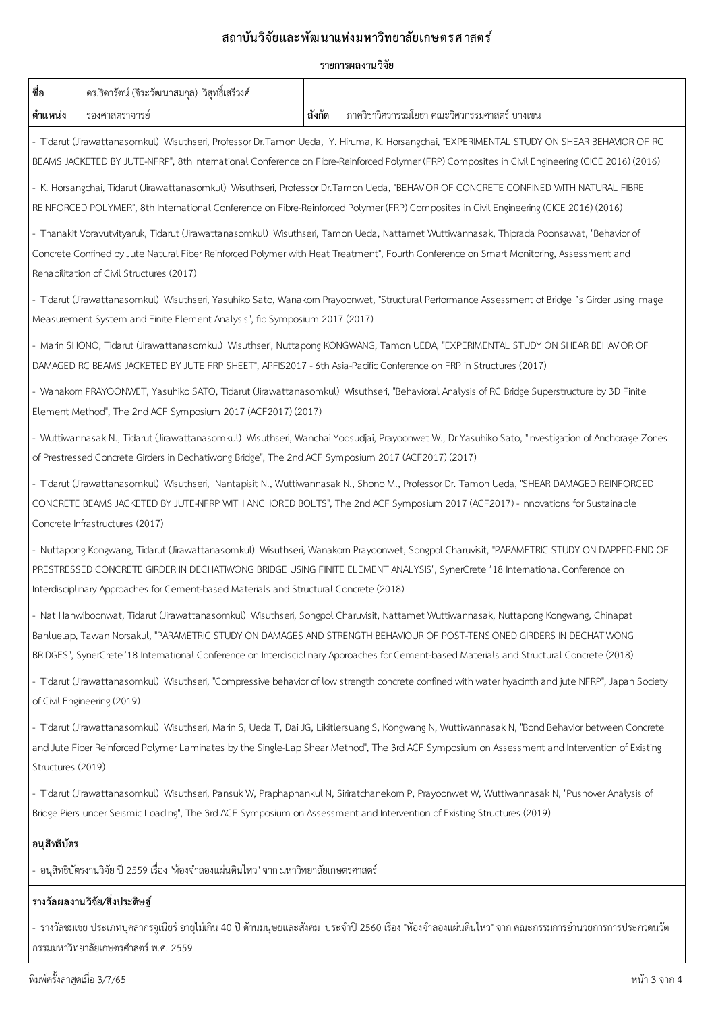### ี่สถาบันวิจัยและพัฒนาแห่งมหาวิทยาลัยเกษตรศาสตร์

### **รายการผลงานววจบย**

| ชื่อ                                                                                                                                                                                                                                                                                                                                                               | ดร.ธิดารัตน์ (จิระวัฒนาสมกุล) วิสุทธิ์เสรีวงศ์                                                                                                                                                                                                                                                                                                                                                                |        |                                                                                                                                                                                                                                                                                    |  |  |  |
|--------------------------------------------------------------------------------------------------------------------------------------------------------------------------------------------------------------------------------------------------------------------------------------------------------------------------------------------------------------------|---------------------------------------------------------------------------------------------------------------------------------------------------------------------------------------------------------------------------------------------------------------------------------------------------------------------------------------------------------------------------------------------------------------|--------|------------------------------------------------------------------------------------------------------------------------------------------------------------------------------------------------------------------------------------------------------------------------------------|--|--|--|
| ตำแหน่ง                                                                                                                                                                                                                                                                                                                                                            | รองศาสตราจารย์                                                                                                                                                                                                                                                                                                                                                                                                | สังกัด | ภาควิชาวิศวกรรมโยธา คณะวิศวกรรมศาสตร์ บางเขน                                                                                                                                                                                                                                       |  |  |  |
|                                                                                                                                                                                                                                                                                                                                                                    |                                                                                                                                                                                                                                                                                                                                                                                                               |        | - Tidarut (Jirawattanasomkul) Wisuthseri, Professor Dr.Tamon Ueda, Y. Hiruma, K. Horsangchai, "EXPERIMENTAL STUDY ON SHEAR BEHAVIOR OF RC                                                                                                                                          |  |  |  |
|                                                                                                                                                                                                                                                                                                                                                                    |                                                                                                                                                                                                                                                                                                                                                                                                               |        | BEAMS JACKETED BY JUTE-NFRP", 8th Intemational Conference on Fibre-Reinforced Polymer (FRP) Composites in Civil Engineering (CICE 2016) (2016)                                                                                                                                     |  |  |  |
|                                                                                                                                                                                                                                                                                                                                                                    | - K. Horsangchai, Tidarut (Jirawattanasomkul) Wisuthseri, Professor Dr.Tamon Ueda, "BEHAVIOR OF CONCRETE CONFINED WITH NATURAL FIBRE<br>REINFORCED POLYMER", 8th International Conference on Fibre-Reinforced Polymer (FRP) Composites in Civil Engineering (CICE 2016) (2016)                                                                                                                                |        |                                                                                                                                                                                                                                                                                    |  |  |  |
|                                                                                                                                                                                                                                                                                                                                                                    | Rehabilitation of Civil Structures (2017)                                                                                                                                                                                                                                                                                                                                                                     |        | - Thanakit Voravutvityaruk, Tidarut (Jirawattanasomkul) Wisuthseri, Tamon Ueda, Nattamet Wuttiwannasak, Thiprada Poonsawat, "Behavior of<br>Concrete Confined by Jute Natural Fiber Reinforced Polymer with Heat Treatment", Fourth Conference on Smart Monitoring, Assessment and |  |  |  |
|                                                                                                                                                                                                                                                                                                                                                                    | Measurement System and Finite Element Analysis", fib Symposium 2017 (2017)                                                                                                                                                                                                                                                                                                                                    |        | - Tidarut (Jirawattanasomkul) Wisuthseri, Yasuhiko Sato, Wanakom Prayoonwet, "Structural Performance Assessment of Bridge 's Girder using Image                                                                                                                                    |  |  |  |
|                                                                                                                                                                                                                                                                                                                                                                    | DAMAGED RC BEAMS JACKETED BY JUTE FRP SHEET", APFIS2017 - 6th Asia-Pacific Conference on FRP in Structures (2017)                                                                                                                                                                                                                                                                                             |        | - Marin SHONO, Tidarut (Jirawattanasomkul) Wisuthseri, Nuttapong KONGWANG, Tamon UEDA, "EXPERIMENTAL STUDY ON SHEAR BEHAVIOR OF                                                                                                                                                    |  |  |  |
|                                                                                                                                                                                                                                                                                                                                                                    | - Wanakom PRAYOONWET, Yasuhiko SATO, Tidarut (Jirawattanasomkul) Wisuthseri, "Behavioral Analysis of RC Bridge Superstructure by 3D Finite<br>Element Method", The 2nd ACF Symposium 2017 (ACF2017) (2017)                                                                                                                                                                                                    |        |                                                                                                                                                                                                                                                                                    |  |  |  |
|                                                                                                                                                                                                                                                                                                                                                                    | - Wuttiwannasak N., Tidarut (Jirawattanasomkul) Wisuthseri, Wanchai Yodsudjai, Prayoonwet W., Dr Yasuhiko Sato, "Investigation of Anchorage Zones<br>of Prestressed Concrete Girders in Dechatiwong Bridge", The 2nd ACF Symposium 2017 (ACF2017) (2017)                                                                                                                                                      |        |                                                                                                                                                                                                                                                                                    |  |  |  |
|                                                                                                                                                                                                                                                                                                                                                                    | Concrete Infrastructures (2017)                                                                                                                                                                                                                                                                                                                                                                               |        | - Tidarut (Jirawattanasomkul) Wisuthseri, Nantapisit N., Wuttiwannasak N., Shono M., Professor Dr. Tamon Ueda, "SHEAR DAMAGED REINFORCED<br>CONCRETE BEAMS JACKETED BY JUTE-NFRP WITH ANCHORED BOLTS", The 2nd ACF Symposium 2017 (ACF2017) - Innovations for Sustainable          |  |  |  |
| - Nuttapong Kongwang, Tidarut (Jirawattanasomkul) Wisuthseri, Wanakom Prayoonwet, Songpol Charuvisit, "PARAMETRIC STUDY ON DAPPED-END OF<br>PRESTRESSED CONCRETE GIRDER IN DECHATIWONG BRIDGE USING FINITE ELEMENT ANALYSIS", SynerCrete '18 International Conference on<br>Interdisciplinary Approaches for Cement-based Materials and Structural Concrete (2018) |                                                                                                                                                                                                                                                                                                                                                                                                               |        |                                                                                                                                                                                                                                                                                    |  |  |  |
|                                                                                                                                                                                                                                                                                                                                                                    | - Nat Hanwiboonwat, Tidarut (Jirawattanasomkul) Wisuthseri, Songpol Charuvisit, Nattamet Wuttiwannasak, Nuttapong Kongwang, Chinapat<br>Banluelap, Tawan Norsakul, "PARAMETRIC STUDY ON DAMAGES AND STRENGTH BEHAVIOUR OF POST-TENSIONED GIRDERS IN DECHATIWONG<br>BRIDGES", SynerCrete'18 International Conference on Interdisciplinary Approaches for Cement-based Materials and Structural Concrete (2018) |        |                                                                                                                                                                                                                                                                                    |  |  |  |
|                                                                                                                                                                                                                                                                                                                                                                    | - Tidarut (Jirawattanasomkul) Wisuthseri, "Compressive behavior of low strength concrete confined with water hyacinth and jute NFRP", Japan Society<br>of Civil Engineering (2019)                                                                                                                                                                                                                            |        |                                                                                                                                                                                                                                                                                    |  |  |  |
| - Tidarut (Jirawattanasomkul) Wisuthseri, Marin S, Ueda T, Dai JG, Likitlersuang S, Kongwang N, Wuttiwannasak N, "Bond Behavior between Concrete<br>and Jute Fiber Reinforced Polymer Laminates by the Single-Lap Shear Method", The 3rd ACF Symposium on Assessment and Intervention of Existing<br>Structures (2019)                                             |                                                                                                                                                                                                                                                                                                                                                                                                               |        |                                                                                                                                                                                                                                                                                    |  |  |  |
|                                                                                                                                                                                                                                                                                                                                                                    | - Tidarut (Jirawattanasomkul) Wisuthseri, Pansuk W, Praphaphankul N, Siriratchanekom P, Prayoonwet W, Wuttiwannasak N, "Pushover Analysis of<br>Bridge Piers under Seismic Loading", The 3rd ACF Symposium on Assessment and Intervention of Existing Structures (2019)                                                                                                                                       |        |                                                                                                                                                                                                                                                                                    |  |  |  |
| อนุสิทธิบัตร                                                                                                                                                                                                                                                                                                                                                       |                                                                                                                                                                                                                                                                                                                                                                                                               |        |                                                                                                                                                                                                                                                                                    |  |  |  |
|                                                                                                                                                                                                                                                                                                                                                                    | ้อนุสิทธิบัตรงานวิจัย ปี 2559 เรื่อง "ห้องจำลองแผ่นดินไหว" จาก มหาวิทยาลัยเกษตรศาสตร์                                                                                                                                                                                                                                                                                                                         |        |                                                                                                                                                                                                                                                                                    |  |  |  |
|                                                                                                                                                                                                                                                                                                                                                                    | รางวัลผลงานวิจัย/สิ่งประดิษฐ์                                                                                                                                                                                                                                                                                                                                                                                 |        |                                                                                                                                                                                                                                                                                    |  |  |  |
| - รางวัลชมเชย ประเภทบุคลากรจูเนียร์ อายุไม่เกิน 40 ปี ด้านมนุษยและสังคม  ประจำปี 2560 เรื่อง "ห้องจำลองแผ่นดินไหว" จาก คณะกรรมการอำนวยการการประกวดนวัต                                                                                                                                                                                                             |                                                                                                                                                                                                                                                                                                                                                                                                               |        |                                                                                                                                                                                                                                                                                    |  |  |  |

| กรรมมหาวิทยาลัยเกษตรศำสตร์ พ.ศ. 2559